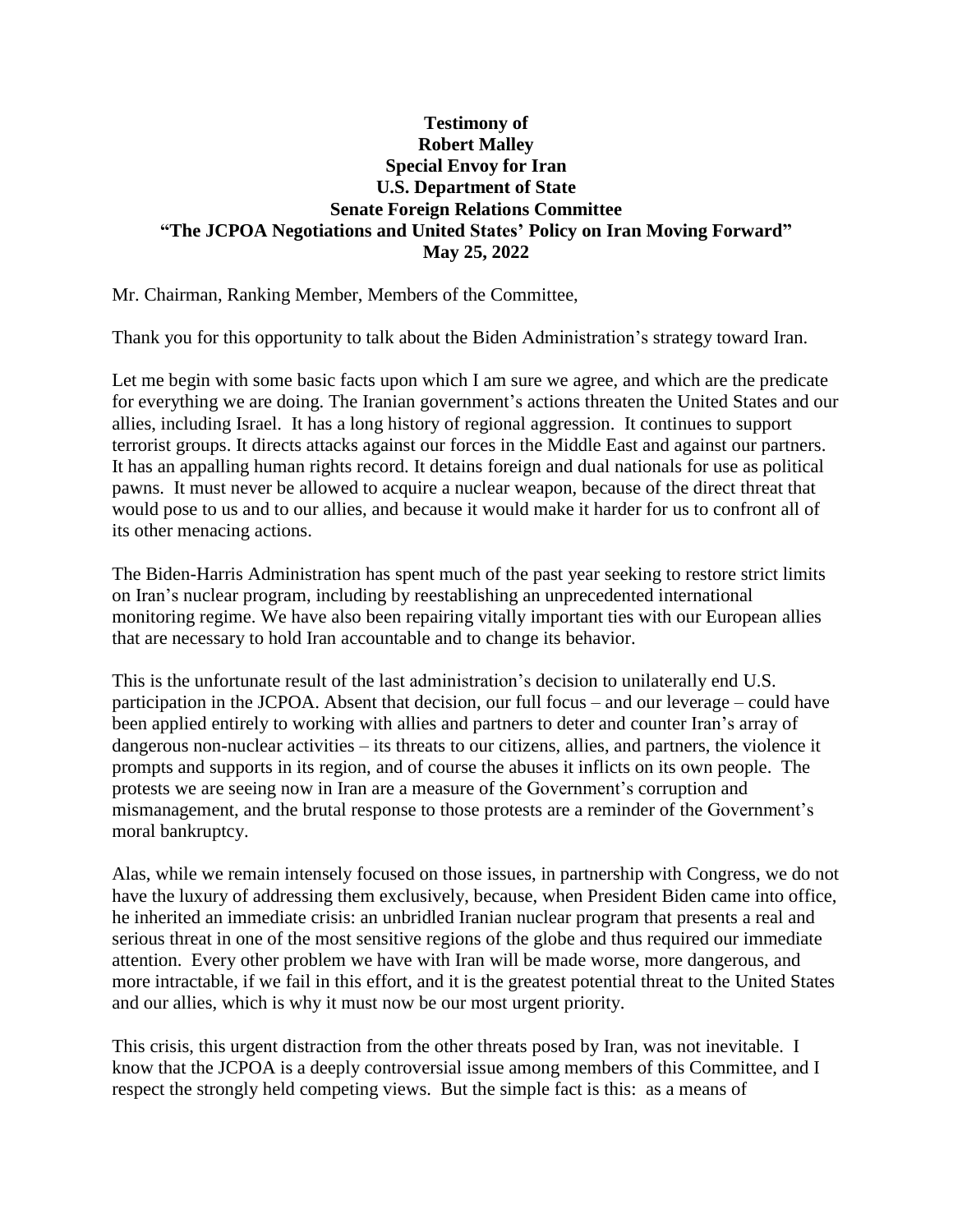## **Testimony of Robert Malley Special Envoy for Iran U.S. Department of State Senate Foreign Relations Committee "The JCPOA Negotiations and United States' Policy on Iran Moving Forward" May 25, 2022**

Mr. Chairman, Ranking Member, Members of the Committee,

Thank you for this opportunity to talk about the Biden Administration's strategy toward Iran.

Let me begin with some basic facts upon which I am sure we agree, and which are the predicate for everything we are doing. The Iranian government's actions threaten the United States and our allies, including Israel. It has a long history of regional aggression. It continues to support terrorist groups. It directs attacks against our forces in the Middle East and against our partners. It has an appalling human rights record. It detains foreign and dual nationals for use as political pawns. It must never be allowed to acquire a nuclear weapon, because of the direct threat that would pose to us and to our allies, and because it would make it harder for us to confront all of its other menacing actions.

The Biden-Harris Administration has spent much of the past year seeking to restore strict limits on Iran's nuclear program, including by reestablishing an unprecedented international monitoring regime. We have also been repairing vitally important ties with our European allies that are necessary to hold Iran accountable and to change its behavior.

This is the unfortunate result of the last administration's decision to unilaterally end U.S. participation in the JCPOA. Absent that decision, our full focus – and our leverage – could have been applied entirely to working with allies and partners to deter and counter Iran's array of dangerous non-nuclear activities – its threats to our citizens, allies, and partners, the violence it prompts and supports in its region, and of course the abuses it inflicts on its own people. The protests we are seeing now in Iran are a measure of the Government's corruption and mismanagement, and the brutal response to those protests are a reminder of the Government's moral bankruptcy.

Alas, while we remain intensely focused on those issues, in partnership with Congress, we do not have the luxury of addressing them exclusively, because, when President Biden came into office, he inherited an immediate crisis: an unbridled Iranian nuclear program that presents a real and serious threat in one of the most sensitive regions of the globe and thus required our immediate attention. Every other problem we have with Iran will be made worse, more dangerous, and more intractable, if we fail in this effort, and it is the greatest potential threat to the United States and our allies, which is why it must now be our most urgent priority.

This crisis, this urgent distraction from the other threats posed by Iran, was not inevitable. I know that the JCPOA is a deeply controversial issue among members of this Committee, and I respect the strongly held competing views. But the simple fact is this: as a means of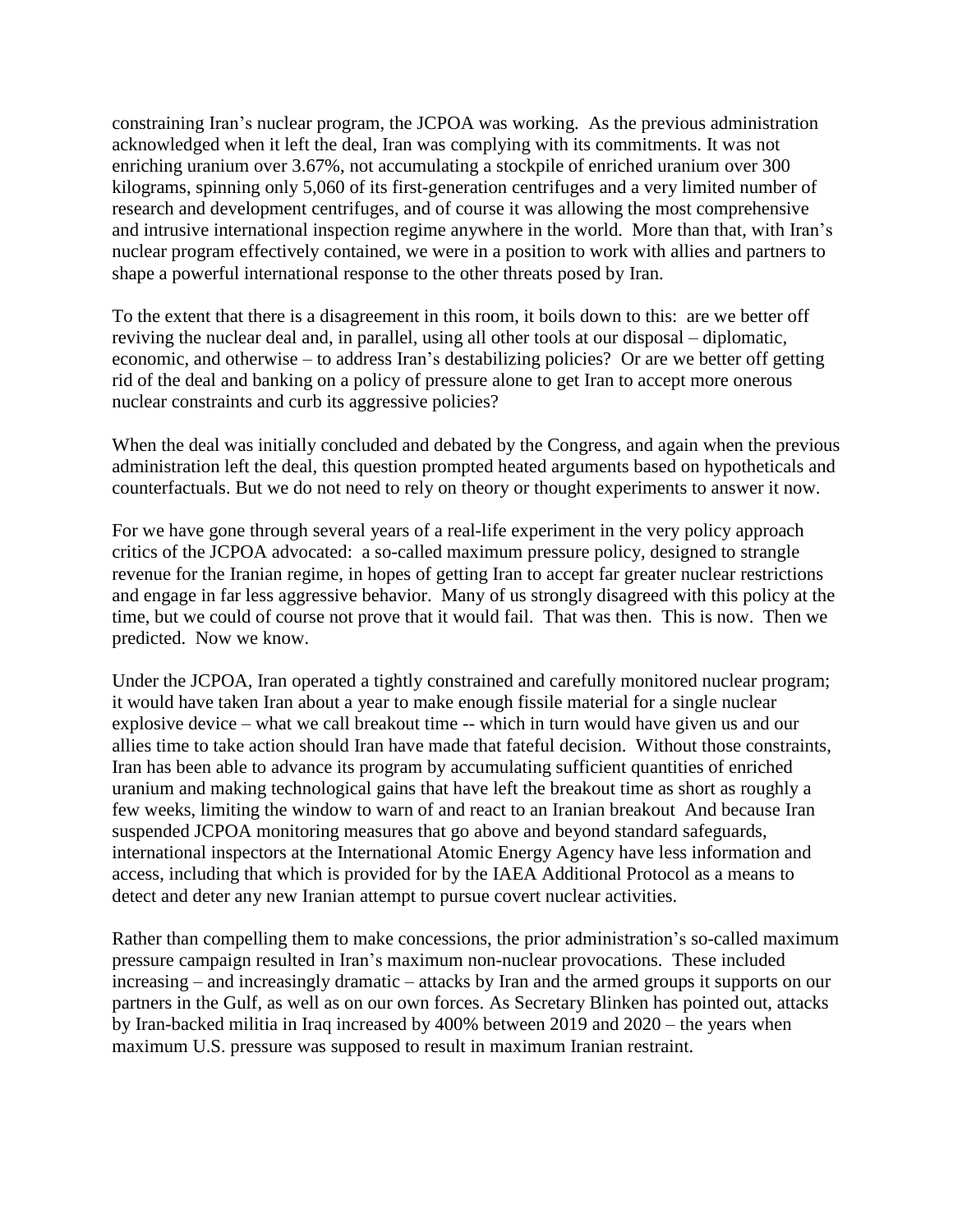constraining Iran's nuclear program, the JCPOA was working. As the previous administration acknowledged when it left the deal, Iran was complying with its commitments. It was not enriching uranium over 3.67%, not accumulating a stockpile of enriched uranium over 300 kilograms, spinning only 5,060 of its first-generation centrifuges and a very limited number of research and development centrifuges, and of course it was allowing the most comprehensive and intrusive international inspection regime anywhere in the world. More than that, with Iran's nuclear program effectively contained, we were in a position to work with allies and partners to shape a powerful international response to the other threats posed by Iran.

To the extent that there is a disagreement in this room, it boils down to this: are we better off reviving the nuclear deal and, in parallel, using all other tools at our disposal – diplomatic, economic, and otherwise – to address Iran's destabilizing policies? Or are we better off getting rid of the deal and banking on a policy of pressure alone to get Iran to accept more onerous nuclear constraints and curb its aggressive policies?

When the deal was initially concluded and debated by the Congress, and again when the previous administration left the deal, this question prompted heated arguments based on hypotheticals and counterfactuals. But we do not need to rely on theory or thought experiments to answer it now.

For we have gone through several years of a real-life experiment in the very policy approach critics of the JCPOA advocated: a so-called maximum pressure policy, designed to strangle revenue for the Iranian regime, in hopes of getting Iran to accept far greater nuclear restrictions and engage in far less aggressive behavior. Many of us strongly disagreed with this policy at the time, but we could of course not prove that it would fail. That was then. This is now. Then we predicted. Now we know.

Under the JCPOA, Iran operated a tightly constrained and carefully monitored nuclear program; it would have taken Iran about a year to make enough fissile material for a single nuclear explosive device – what we call breakout time -- which in turn would have given us and our allies time to take action should Iran have made that fateful decision. Without those constraints, Iran has been able to advance its program by accumulating sufficient quantities of enriched uranium and making technological gains that have left the breakout time as short as roughly a few weeks, limiting the window to warn of and react to an Iranian breakout And because Iran suspended JCPOA monitoring measures that go above and beyond standard safeguards, international inspectors at the International Atomic Energy Agency have less information and access, including that which is provided for by the IAEA Additional Protocol as a means to detect and deter any new Iranian attempt to pursue covert nuclear activities.

Rather than compelling them to make concessions, the prior administration's so-called maximum pressure campaign resulted in Iran's maximum non-nuclear provocations. These included increasing – and increasingly dramatic – attacks by Iran and the armed groups it supports on our partners in the Gulf, as well as on our own forces. As Secretary Blinken has pointed out, attacks by Iran-backed militia in Iraq increased by 400% between 2019 and 2020 – the years when maximum U.S. pressure was supposed to result in maximum Iranian restraint.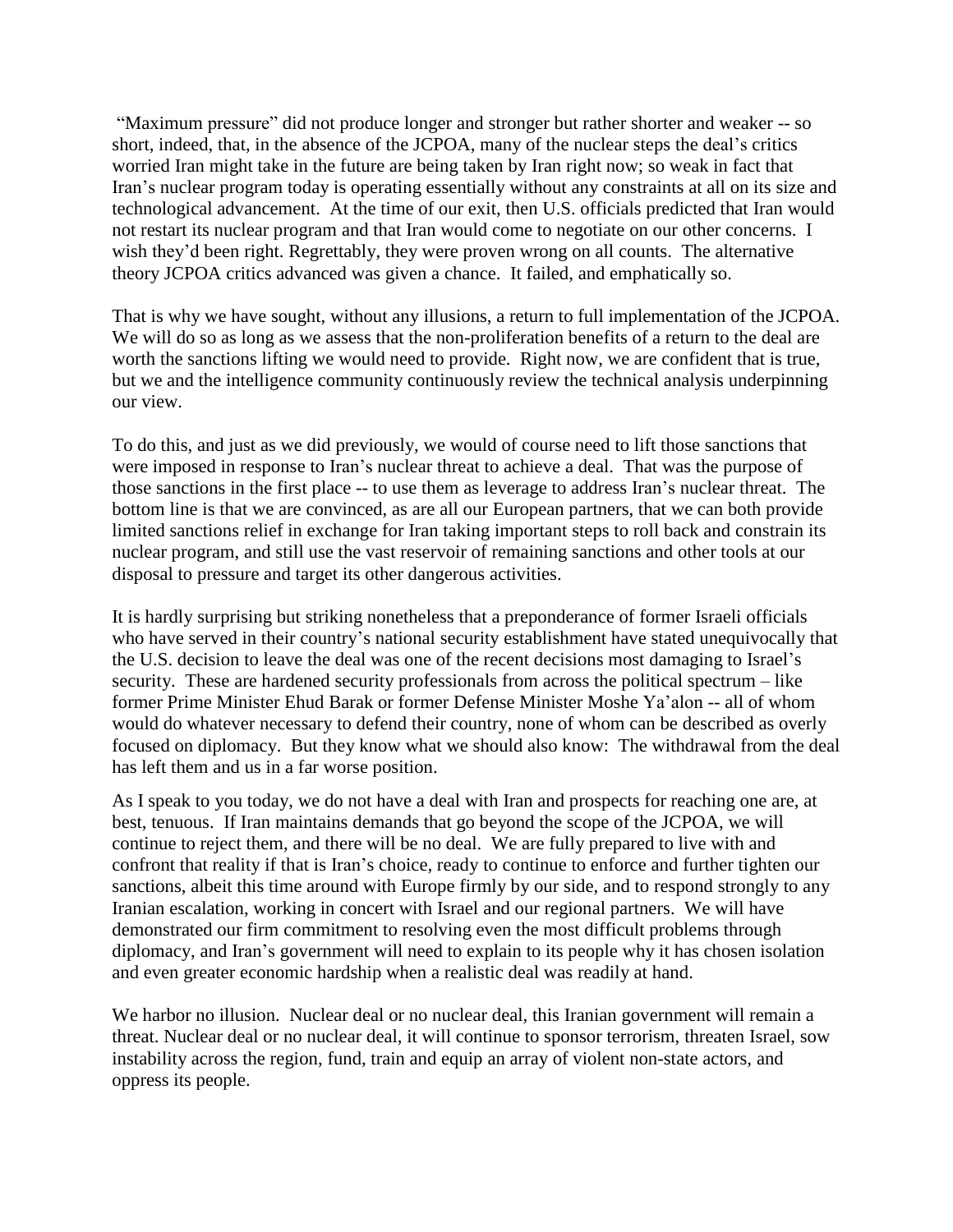"Maximum pressure" did not produce longer and stronger but rather shorter and weaker -- so short, indeed, that, in the absence of the JCPOA, many of the nuclear steps the deal's critics worried Iran might take in the future are being taken by Iran right now; so weak in fact that Iran's nuclear program today is operating essentially without any constraints at all on its size and technological advancement. At the time of our exit, then U.S. officials predicted that Iran would not restart its nuclear program and that Iran would come to negotiate on our other concerns. I wish they'd been right. Regrettably, they were proven wrong on all counts. The alternative theory JCPOA critics advanced was given a chance. It failed, and emphatically so.

That is why we have sought, without any illusions, a return to full implementation of the JCPOA. We will do so as long as we assess that the non-proliferation benefits of a return to the deal are worth the sanctions lifting we would need to provide. Right now, we are confident that is true, but we and the intelligence community continuously review the technical analysis underpinning our view.

To do this, and just as we did previously, we would of course need to lift those sanctions that were imposed in response to Iran's nuclear threat to achieve a deal. That was the purpose of those sanctions in the first place -- to use them as leverage to address Iran's nuclear threat. The bottom line is that we are convinced, as are all our European partners, that we can both provide limited sanctions relief in exchange for Iran taking important steps to roll back and constrain its nuclear program, and still use the vast reservoir of remaining sanctions and other tools at our disposal to pressure and target its other dangerous activities.

It is hardly surprising but striking nonetheless that a preponderance of former Israeli officials who have served in their country's national security establishment have stated unequivocally that the U.S. decision to leave the deal was one of the recent decisions most damaging to Israel's security. These are hardened security professionals from across the political spectrum – like former Prime Minister Ehud Barak or former Defense Minister Moshe Ya'alon -- all of whom would do whatever necessary to defend their country, none of whom can be described as overly focused on diplomacy. But they know what we should also know: The withdrawal from the deal has left them and us in a far worse position.

As I speak to you today, we do not have a deal with Iran and prospects for reaching one are, at best, tenuous. If Iran maintains demands that go beyond the scope of the JCPOA, we will continue to reject them, and there will be no deal. We are fully prepared to live with and confront that reality if that is Iran's choice, ready to continue to enforce and further tighten our sanctions, albeit this time around with Europe firmly by our side, and to respond strongly to any Iranian escalation, working in concert with Israel and our regional partners. We will have demonstrated our firm commitment to resolving even the most difficult problems through diplomacy, and Iran's government will need to explain to its people why it has chosen isolation and even greater economic hardship when a realistic deal was readily at hand.

We harbor no illusion. Nuclear deal or no nuclear deal, this Iranian government will remain a threat. Nuclear deal or no nuclear deal, it will continue to sponsor terrorism, threaten Israel, sow instability across the region, fund, train and equip an array of violent non-state actors, and oppress its people.